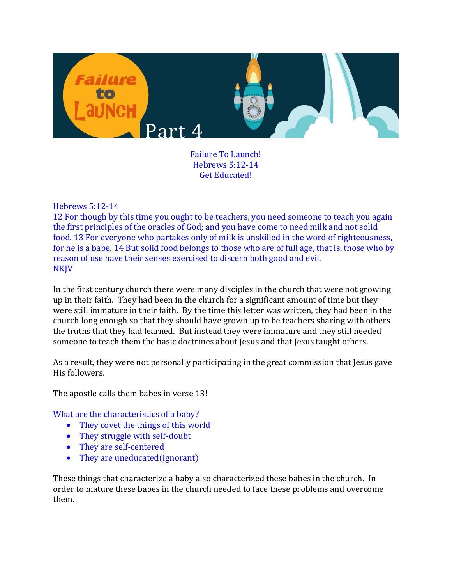

Failure To Launch! Hebrews 5:12-14 Get Educated!

## Hebrews 5:12-14

12 For though by this time you ought to be teachers, you need someone to teach you again the first principles of the oracles of God; and you have come to need milk and not solid food. 13 For everyone who partakes only of milk is unskilled in the word of righteousness, for he is a babe. 14 But solid food belongs to those who are of full age, that is, those who by reason of use have their senses exercised to discern both good and evil. **NKJV** 

In the first century church there were many disciples in the church that were not growing up in their faith. They had been in the church for a significant amount of time but they were still immature in their faith. By the time this letter was written, they had been in the church long enough so that they should have grown up to be teachers sharing with others the truths that they had learned. But instead they were immature and they still needed someone to teach them the basic doctrines about Jesus and that Jesus taught others.

As a result, they were not personally participating in the great commission that Jesus gave His followers.

The apostle calls them babes in verse 13!

What are the characteristics of a baby?

- They covet the things of this world
- They struggle with self-doubt
- They are self-centered
- They are uneducated (ignorant)

These things that characterize a baby also characterized these babes in the church. In order to mature these babes in the church needed to face these problems and overcome them.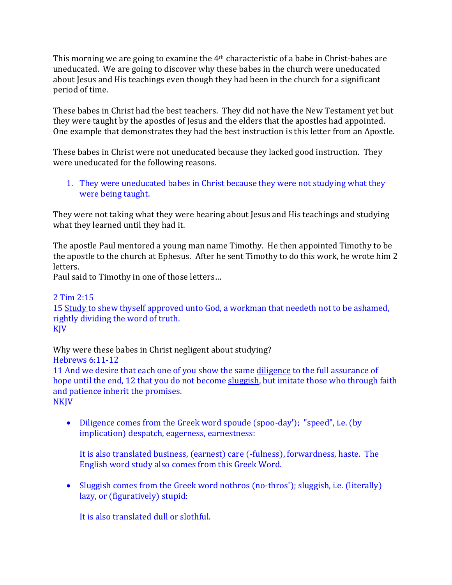This morning we are going to examine the  $4<sup>th</sup>$  characteristic of a babe in Christ-babes are uneducated. We are going to discover why these babes in the church were uneducated about Jesus and His teachings even though they had been in the church for a significant period of time.

These babes in Christ had the best teachers. They did not have the New Testament yet but they were taught by the apostles of Jesus and the elders that the apostles had appointed. One example that demonstrates they had the best instruction is this letter from an Apostle.

These babes in Christ were not uneducated because they lacked good instruction. They were uneducated for the following reasons.

1. They were uneducated babes in Christ because they were not studying what they were being taught.

They were not taking what they were hearing about Jesus and His teachings and studying what they learned until they had it.

The apostle Paul mentored a young man name Timothy. He then appointed Timothy to be the apostle to the church at Ephesus. After he sent Timothy to do this work, he wrote him 2 letters.

Paul said to Timothy in one of those letters…

2 Tim 2:15 15 Study to shew thyself approved unto God, a workman that needeth not to be ashamed, rightly dividing the word of truth. KJV

Why were these babes in Christ negligent about studying? Hebrews 6:11-12

11 And we desire that each one of you show the same diligence to the full assurance of hope until the end, 12 that you do not become sluggish, but imitate those who through faith and patience inherit the promises. NKJV

 Diligence comes from the Greek word spoude (spoo-day'); "speed", i.e. (by implication) despatch, eagerness, earnestness:

It is also translated business, (earnest) care (-fulness), forwardness, haste. The English word study also comes from this Greek Word.

 Sluggish comes from the Greek word nothros (no-thros'); sluggish, i.e. (literally) lazy, or (figuratively) stupid:

It is also translated dull or slothful.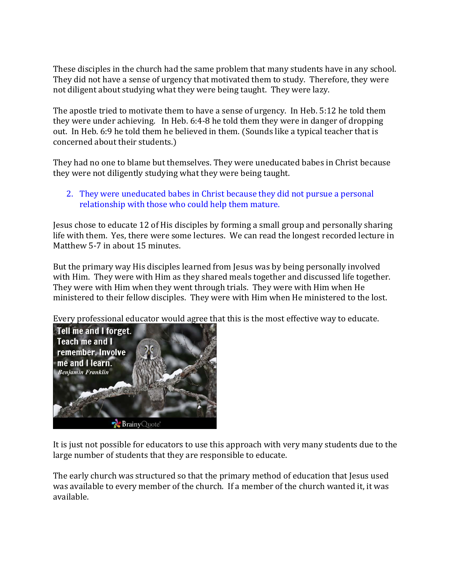These disciples in the church had the same problem that many students have in any school. They did not have a sense of urgency that motivated them to study. Therefore, they were not diligent about studying what they were being taught. They were lazy.

The apostle tried to motivate them to have a sense of urgency. In Heb. 5:12 he told them they were under achieving. In Heb. 6:4-8 he told them they were in danger of dropping out. In Heb. 6:9 he told them he believed in them. (Sounds like a typical teacher that is concerned about their students.)

They had no one to blame but themselves. They were uneducated babes in Christ because they were not diligently studying what they were being taught.

## 2. They were uneducated babes in Christ because they did not pursue a personal relationship with those who could help them mature.

Jesus chose to educate 12 of His disciples by forming a small group and personally sharing life with them. Yes, there were some lectures. We can read the longest recorded lecture in Matthew 5-7 in about 15 minutes.

But the primary way His disciples learned from Jesus was by being personally involved with Him. They were with Him as they shared meals together and discussed life together. They were with Him when they went through trials. They were with Him when He ministered to their fellow disciples. They were with Him when He ministered to the lost.

Every professional educator would agree that this is the most effective way to educate.



It is just not possible for educators to use this approach with very many students due to the large number of students that they are responsible to educate.

The early church was structured so that the primary method of education that Jesus used was available to every member of the church. If a member of the church wanted it, it was available.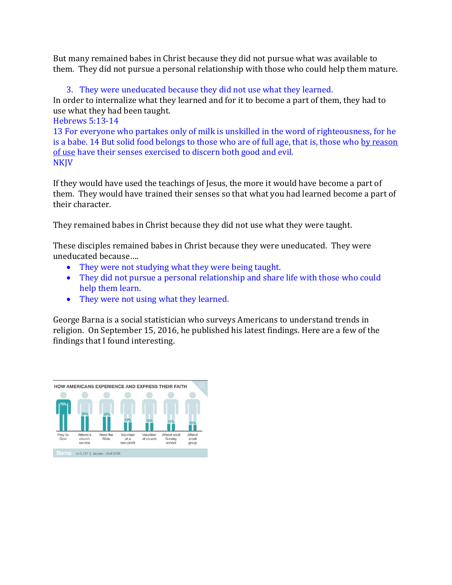But many remained babes in Christ because they did not pursue what was available to them. They did not pursue a personal relationship with those who could help them mature.

3. They were uneducated because they did not use what they learned.

In order to internalize what they learned and for it to become a part of them, they had to use what they had been taught.

Hebrews 5:13-14 13 For everyone who partakes only of milk is unskilled in the word of righteousness, for he is a babe. 14 But solid food belongs to those who are of full age, that is, those who by reason of use have their senses exercised to discern both good and evil. NKJV

If they would have used the teachings of Jesus, the more it would have become a part of them. They would have trained their senses so that what you had learned become a part of their character.

They remained babes in Christ because they did not use what they were taught.

These disciples remained babes in Christ because they were uneducated. They were uneducated because….

- They were not studying what they were being taught.
- They did not pursue a personal relationship and share life with those who could help them learn.
- They were not using what they learned.

George Barna is a social statistician who surveys Americans to understand trends in religion. On September 15, 2016, he published his latest findings. Here are a few of the findings that I found interesting.